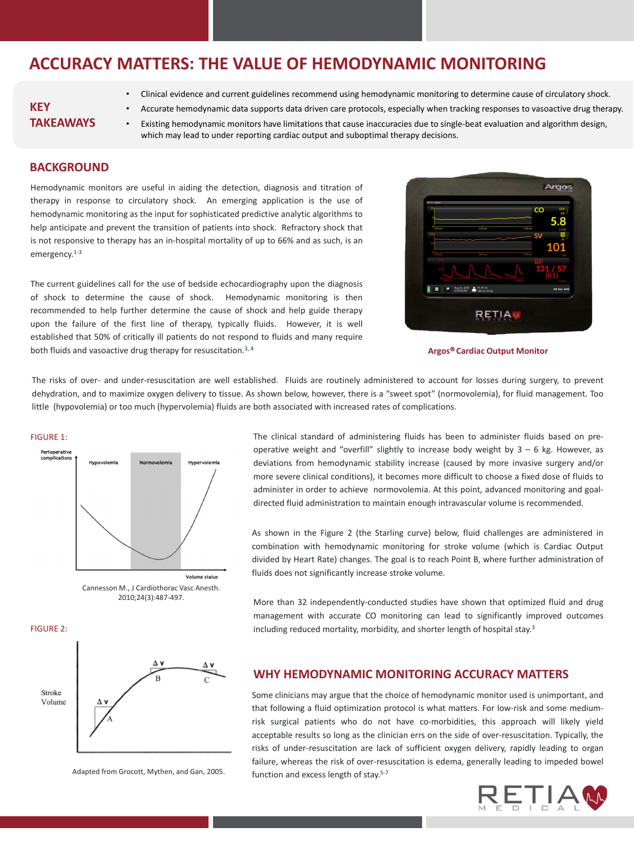# **ACCURACY MATTERS: THE VALUE OF HEMODYNAMIC MONITORING**

## **WHY HEMODYNAMIC MONITORING ACCURACY MATTERS**

The current guidelines call for the use of bedside echocardiography upon the diagnosis of shock to determine the cause of shock. Hemodynamic monitoring is then recommended to help further determine the cause of shock and help guide therapy upon the failure of the first line of therapy, typically fluids. However, it is well established that 50% of critically ill patients do not respond to fluids and many require both fluids and vasoactive drug therapy for resuscitation.<sup>3, 4</sup>



Hemodynamic monitors are useful in aiding the detection, diagnosis and titration of therapy in response to circulatory shock. An emerging application is the use of hemodynamic monitoring as the input for sophisticated predictive analytic algorithms to help anticipate and prevent the transition of patients into shock. Refractory shock that is not responsive to therapy has an in-hospital mortality of up to 66% and as such, is an emergency. 1-3

The risks of over- and under-resuscitation are well established. Fluids are routinely administered to account for losses during surgery, to prevent dehydration, and to maximize oxygen delivery to tissue. As shown below, however, there is a "sweet spot" (normovolemia), for fluid management. Too little (hypovolemia) or too much (hypervolemia) fluids are both associated with increased rates of complications.

> Some clinicians may argue that the choice of hemodynamic monitor used is unimportant, and that following a fluid optimization protocol is what matters. For low-risk and some mediumrisk surgical patients who do not have co-morbidities, this approach will likely yield acceptable results so long as the clinician errs on the side of over-resuscitation. Typically, the risks of under-resuscitation are lack of sufficient oxygen delivery, rapidly leading to organ failure, whereas the risk of over-resuscitation is edema, generally leading to impeded bowel function and excess length of stay.<sup>5-7</sup>



The clinical standard of administering fluids has been to administer fluids based on preoperative weight and "overfill" slightly to increase body weight by  $3 - 6$  kg. However, as deviations from hemodynamic stability increase (caused by more invasive surgery and/or more severe clinical conditions), it becomes more difficult to choose a fixed dose of fluids to administer in order to achieve normovolemia. At this point, advanced monitoring and goaldirected fluid administration to maintain enough intravascular volume is recommended.

As shown in the Figure 2 (the Starling curve) below, fluid challenges are administered in combination with hemodynamic monitoring for stroke volume (which is Cardiac Output divided by Heart Rate) changes. The goal is to reach Point B, where further administration of fluids does not significantly increase stroke volume.

Cannesson M., J Cardiothorac Vasc Anesth.

2010;24(3):487-497.

Stroke Volume





FIGURE 2:



Adapted from Grocott, Mythen, and Gan, 2005.

More than 32 independently-conducted studies have shown that optimized fluid and drug management with accurate CO monitoring can lead to significantly improved outcomes including reduced mortality, morbidity, and shorter length of hospital stay. 3

## **BACKGROUND**



# **KEY TAKEAWAYS**

- Clinical evidence and current guidelines recommend using hemodynamic monitoring to determine cause of circulatory shock.
- Accurate hemodynamic data supports data driven care protocols, especially when tracking responses to vasoactive drug therapy.
- 

• Existing hemodynamic monitors have limitations that cause inaccuracies due to single-beat evaluation and algorithm design, which may lead to under reporting cardiac output and suboptimal therapy decisions.